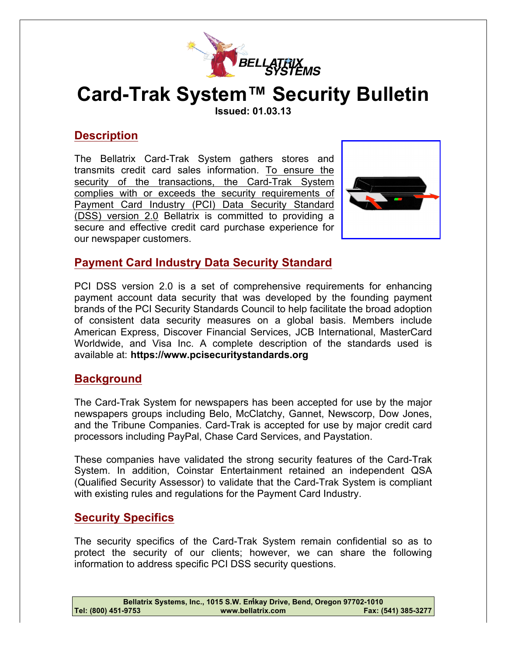

# **Card-Trak System™ Security Bulletin**

**Issued: 01.03.13**

# **Description**

The Bellatrix Card-Trak System gathers stores and transmits credit card sales information. To ensure the security of the transactions, the Card-Trak System complies with or exceeds the security requirements of Payment Card Industry (PCI) Data Security Standard (DSS) version 2.0 Bellatrix is committed to providing a secure and effective credit card purchase experience for our newspaper customers.



#### **Payment Card Industry Data Security Standard**

PCI DSS version 2.0 is a set of comprehensive requirements for enhancing payment account data security that was developed by the founding payment brands of the PCI Security Standards Council to help facilitate the broad adoption of consistent data security measures on a global basis. Members include American Express, Discover Financial Services, JCB International, MasterCard Worldwide, and Visa Inc. A complete description of the standards used is available at: **https://www.pcisecuritystandards.org**

#### **Background**

The Card-Trak System for newspapers has been accepted for use by the major newspapers groups including Belo, McClatchy, Gannet, Newscorp, Dow Jones, and the Tribune Companies. Card-Trak is accepted for use by major credit card processors including PayPal, Chase Card Services, and Paystation.

These companies have validated the strong security features of the Card-Trak System. In addition, Coinstar Entertainment retained an independent QSA (Qualified Security Assessor) to validate that the Card-Trak System is compliant with existing rules and regulations for the Payment Card Industry.

#### **Security Specifics**

The security specifics of the Card-Trak System remain confidential so as to protect the security of our clients; however, we can share the following information to address specific PCI DSS security questions.

| Bellatrix Systems, Inc., 1015 S.W. Emkay Drive, Bend, Oregon 97702-1010 |                   |                     |
|-------------------------------------------------------------------------|-------------------|---------------------|
| Tel: (800) 451-9753                                                     | www.bellatrix.com | Fax: (541) 385-3277 |